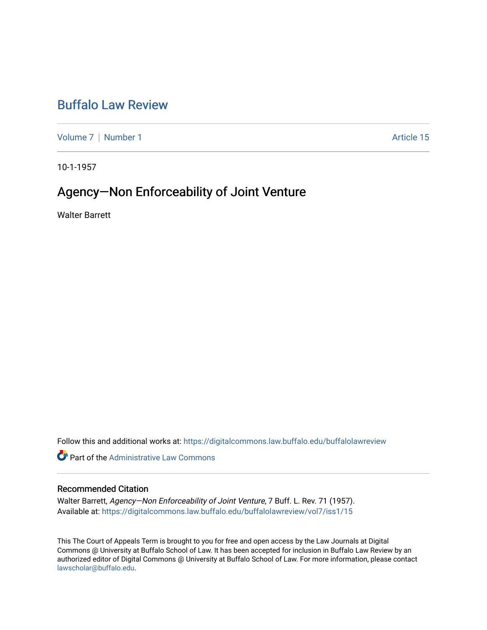## [Buffalo Law Review](https://digitalcommons.law.buffalo.edu/buffalolawreview)

[Volume 7](https://digitalcommons.law.buffalo.edu/buffalolawreview/vol7) | [Number 1](https://digitalcommons.law.buffalo.edu/buffalolawreview/vol7/iss1) Article 15

10-1-1957

# Agency—Non Enforceability of Joint Venture

Walter Barrett

Follow this and additional works at: [https://digitalcommons.law.buffalo.edu/buffalolawreview](https://digitalcommons.law.buffalo.edu/buffalolawreview?utm_source=digitalcommons.law.buffalo.edu%2Fbuffalolawreview%2Fvol7%2Fiss1%2F15&utm_medium=PDF&utm_campaign=PDFCoverPages) 

*O* Part of the Administrative Law Commons

### Recommended Citation

Walter Barrett, Agency-Non Enforceability of Joint Venture, 7 Buff. L. Rev. 71 (1957). Available at: [https://digitalcommons.law.buffalo.edu/buffalolawreview/vol7/iss1/15](https://digitalcommons.law.buffalo.edu/buffalolawreview/vol7/iss1/15?utm_source=digitalcommons.law.buffalo.edu%2Fbuffalolawreview%2Fvol7%2Fiss1%2F15&utm_medium=PDF&utm_campaign=PDFCoverPages) 

This The Court of Appeals Term is brought to you for free and open access by the Law Journals at Digital Commons @ University at Buffalo School of Law. It has been accepted for inclusion in Buffalo Law Review by an authorized editor of Digital Commons @ University at Buffalo School of Law. For more information, please contact [lawscholar@buffalo.edu](mailto:lawscholar@buffalo.edu).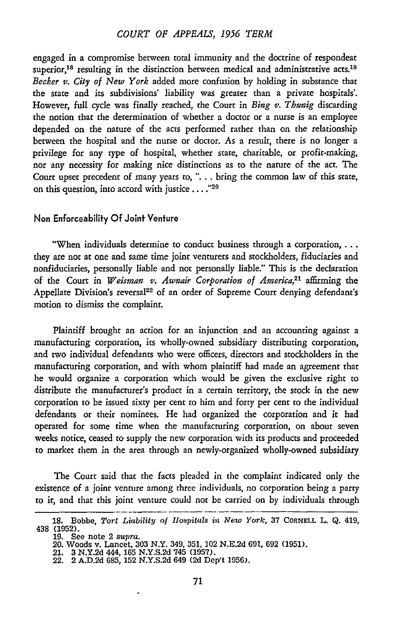### *COURT OF APPEALS, 1956 TERM*

engaged in a compromise between total immunity and the doctrine of respondeat superior,<sup>18</sup> resulting in the distinction between medical and administrative acts.<sup>19</sup> *Becker v. City of New York* added more confusion by holding in substance that the state and its subdivisions' liability was greater than a private hospitals'. However, full cycle was finally reached, the Court in *Bing* v. *Thunig* discarding the notion that the determination of whether a doctor or **a** nurse is an employee depended on the nature of the acts performed rather than on the relationship between the hospital and the nurse or doctor. As a result, there is no longer a privilege for any type of hospital, whether state, charitable, or profit-making, nor any necessity for making nice distinctions as to the nature of the act. The Court upset precedent of many years to, **"....** bring the common law of this state, on this question, into accord with justice **.... <sup>20</sup>**

#### Non Enforceability **Of** Joint Venfure

"When individuals determine to conduct business through a corporation, ... they are not at one and same time joint venturers and stockholders, fiduciaries and nonfiduciaries, personally liable and not personally liable." This is the declaration of the Court in *Weisman v. Awnair Corporation of America,21* affirming the Appellate Division's reversal<sup>22</sup> of an order of Supreme Court denying defendant's motion to dismiss the complaint.

Plaintiff brought an action for an injunction and an accounting against a manufacturing corporation, its wholly-owned subsidiary distributing corporation, and two individual defendants who were officers, directors and stockholders in the manufacturing corporation, and with whom plaintiff had made an agreement that he would organize a corporation which would be given the exclusive right to distribute the manufacturer's product in a certain territory, the stock in the new corporation to be issued sixty per cent to him and forty per cent to the individual defendants or their nominees. He had organized the corporation and it had operated for some time when the manufacturing corporation, on about seven weeks notice, ceased to supply the new corporation with its products and proceeded to market them in the area through an newly-organized wholly-owned subsidiary

The Court said that the facts pleaded in the complaint indicated only the existence of a joint venture among three individuals, no corporation being a party to it, and that this joint venture could not be carried on by individuals through

<sup>18.</sup> Bobbe, Tort Liability of Hospitals in New York, 37 CORNELL L. Q. 419, 438 (1952).

<sup>19.</sup> See note 2 *supra.* 20. Woods v. Lancet, 303 N.Y. 349, 351, 102 N.E.2d 691, 692 (1951).

<sup>21. 3</sup> **N.Y.2d** 444, 165 N.Y.S.2d 745 (1957).

<sup>22. 2</sup> **A.D.2d 685, 152 N.Y.S.2d** 649 **(2d Dep't 1956).**